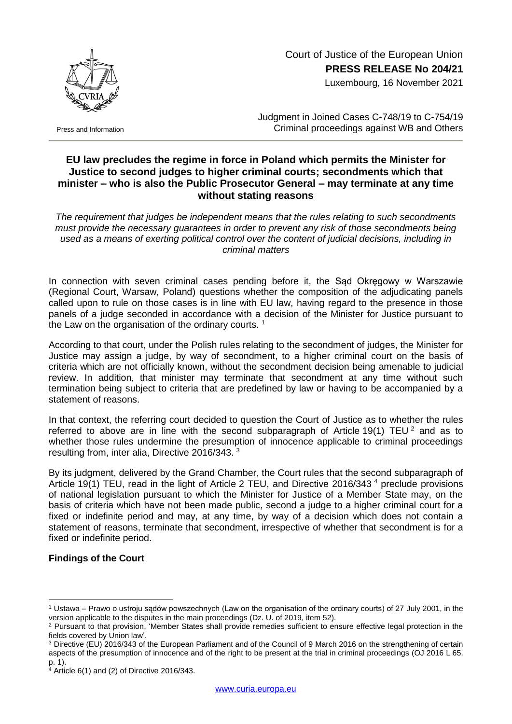

Press and Information

Court of Justice of the European Union **PRESS RELEASE No 204/21**

Luxembourg, 16 November 2021

Judgment in Joined Cases C-748/19 to C-754/19 Criminal proceedings against WB and Others

## **EU law precludes the regime in force in Poland which permits the Minister for Justice to second judges to higher criminal courts; secondments which that minister – who is also the Public Prosecutor General – may terminate at any time without stating reasons**

*The requirement that judges be independent means that the rules relating to such secondments must provide the necessary guarantees in order to prevent any risk of those secondments being used as a means of exerting political control over the content of judicial decisions, including in criminal matters*

In connection with seven criminal cases pending before it, the Sąd Okręgowy w Warszawie (Regional Court, Warsaw, Poland) questions whether the composition of the adjudicating panels called upon to rule on those cases is in line with EU law, having regard to the presence in those panels of a judge seconded in accordance with a decision of the Minister for Justice pursuant to the Law on the organisation of the ordinary courts.  $1$ 

According to that court, under the Polish rules relating to the secondment of judges, the Minister for Justice may assign a judge, by way of secondment, to a higher criminal court on the basis of criteria which are not officially known, without the secondment decision being amenable to judicial review. In addition, that minister may terminate that secondment at any time without such termination being subject to criteria that are predefined by law or having to be accompanied by a statement of reasons.

In that context, the referring court decided to question the Court of Justice as to whether the rules referred to above are in line with the second subparagraph of Article 19(1) TEU  $^2$  and as to whether those rules undermine the presumption of innocence applicable to criminal proceedings resulting from, inter alia, Directive 2016/343. <sup>3</sup>

By its judgment, delivered by the Grand Chamber, the Court rules that the second subparagraph of Article 19(1) TEU, read in the light of Article 2 TEU, and Directive 2016/343<sup>4</sup> preclude provisions of national legislation pursuant to which the Minister for Justice of a Member State may, on the basis of criteria which have not been made public, second a judge to a higher criminal court for a fixed or indefinite period and may, at any time, by way of a decision which does not contain a statement of reasons, terminate that secondment, irrespective of whether that secondment is for a fixed or indefinite period.

## **Findings of the Court**

1

<sup>1</sup> Ustawa – Prawo o ustroju sądów powszechnych (Law on the organisation of the ordinary courts) of 27 July 2001, in the version applicable to the disputes in the main proceedings (Dz. U. of 2019, item 52).

<sup>&</sup>lt;sup>2</sup> Pursuant to that provision, 'Member States shall provide remedies sufficient to ensure effective legal protection in the fields covered by Union law'.

<sup>3</sup> Directive (EU) 2016/343 of the European Parliament and of the Council of 9 March 2016 on the strengthening of certain aspects of the presumption of innocence and of the right to be present at the trial in criminal proceedings (OJ 2016 L 65, p. 1).

<sup>4</sup> Article 6(1) and (2) of Directive 2016/343.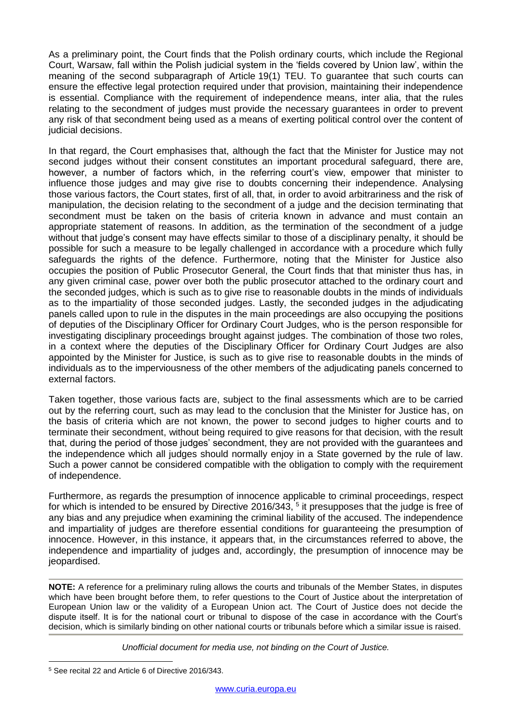As a preliminary point, the Court finds that the Polish ordinary courts, which include the Regional Court, Warsaw, fall within the Polish judicial system in the 'fields covered by Union law', within the meaning of the second subparagraph of Article 19(1) TEU. To guarantee that such courts can ensure the effective legal protection required under that provision, maintaining their independence is essential. Compliance with the requirement of independence means, inter alia, that the rules relating to the secondment of judges must provide the necessary guarantees in order to prevent any risk of that secondment being used as a means of exerting political control over the content of judicial decisions.

In that regard, the Court emphasises that, although the fact that the Minister for Justice may not second judges without their consent constitutes an important procedural safeguard, there are, however, a number of factors which, in the referring court's view, empower that minister to influence those judges and may give rise to doubts concerning their independence. Analysing those various factors, the Court states, first of all, that, in order to avoid arbitrariness and the risk of manipulation, the decision relating to the secondment of a judge and the decision terminating that secondment must be taken on the basis of criteria known in advance and must contain an appropriate statement of reasons. In addition, as the termination of the secondment of a judge without that judge's consent may have effects similar to those of a disciplinary penalty, it should be possible for such a measure to be legally challenged in accordance with a procedure which fully safeguards the rights of the defence. Furthermore, noting that the Minister for Justice also occupies the position of Public Prosecutor General, the Court finds that that minister thus has, in any given criminal case, power over both the public prosecutor attached to the ordinary court and the seconded judges, which is such as to give rise to reasonable doubts in the minds of individuals as to the impartiality of those seconded judges. Lastly, the seconded judges in the adjudicating panels called upon to rule in the disputes in the main proceedings are also occupying the positions of deputies of the Disciplinary Officer for Ordinary Court Judges, who is the person responsible for investigating disciplinary proceedings brought against judges. The combination of those two roles, in a context where the deputies of the Disciplinary Officer for Ordinary Court Judges are also appointed by the Minister for Justice, is such as to give rise to reasonable doubts in the minds of individuals as to the imperviousness of the other members of the adjudicating panels concerned to external factors.

Taken together, those various facts are, subject to the final assessments which are to be carried out by the referring court, such as may lead to the conclusion that the Minister for Justice has, on the basis of criteria which are not known, the power to second judges to higher courts and to terminate their secondment, without being required to give reasons for that decision, with the result that, during the period of those judges' secondment, they are not provided with the guarantees and the independence which all judges should normally enjoy in a State governed by the rule of law. Such a power cannot be considered compatible with the obligation to comply with the requirement of independence.

Furthermore, as regards the presumption of innocence applicable to criminal proceedings, respect for which is intended to be ensured by Directive 2016/343,  $5$  it presupposes that the judge is free of any bias and any prejudice when examining the criminal liability of the accused. The independence and impartiality of judges are therefore essential conditions for guaranteeing the presumption of innocence. However, in this instance, it appears that, in the circumstances referred to above, the independence and impartiality of judges and, accordingly, the presumption of innocence may be jeopardised.

**NOTE:** A reference for a preliminary ruling allows the courts and tribunals of the Member States, in disputes which have been brought before them, to refer questions to the Court of Justice about the interpretation of European Union law or the validity of a European Union act. The Court of Justice does not decide the dispute itself. It is for the national court or tribunal to dispose of the case in accordance with the Court's decision, which is similarly binding on other national courts or tribunals before which a similar issue is raised.

*Unofficial document for media use, not binding on the Court of Justice.*

<sup>&</sup>lt;u>.</u> <sup>5</sup> See recital 22 and Article 6 of Directive 2016/343.